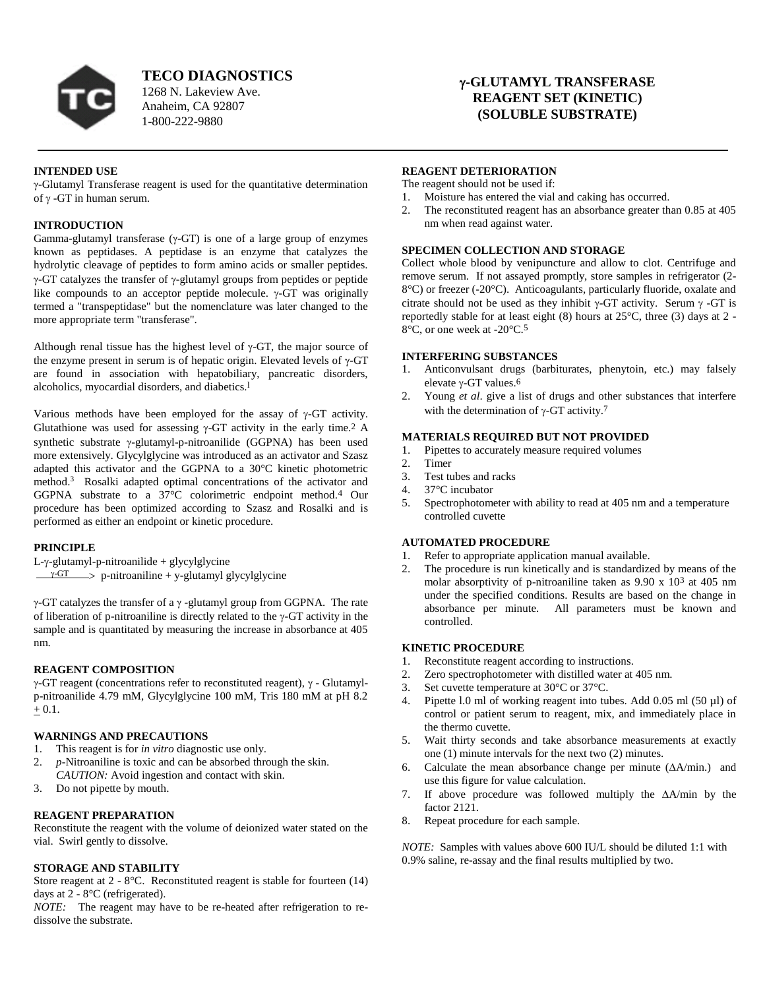

**TECO DIAGNOSTICS**

1268 N. Lakeview Ave. Anaheim, CA 92807 1-800-222-9880

# **-GLUTAMYL TRANSFERASE REAGENT SET (KINETIC) (SOLUBLE SUBSTRATE)**

# **INTENDED USE**

 $\gamma$ -Glutamyl Transferase reagent is used for the quantitative determination of  $\gamma$  -GT in human serum.

## **INTRODUCTION**

Gamma-glutamyl transferase  $(\gamma$ -GT) is one of a large group of enzymes known as peptidases. A peptidase is an enzyme that catalyzes the hydrolytic cleavage of peptides to form amino acids or smaller peptides.  $\gamma$ -GT catalyzes the transfer of  $\gamma$ -glutamyl groups from peptides or peptide like compounds to an acceptor peptide molecule.  $\gamma$ -GT was originally termed a "transpeptidase" but the nomenclature was later changed to the more appropriate term "transferase".

Although renal tissue has the highest level of  $\gamma$ -GT, the major source of the enzyme present in serum is of hepatic origin. Elevated levels of  $\gamma$ -GT are found in association with hepatobiliary, pancreatic disorders, alcoholics, myocardial disorders, and diabetics.<sup>1</sup>

Various methods have been employed for the assay of  $\gamma$ -GT activity. Glutathione was used for assessing  $\gamma$ -GT activity in the early time.<sup>2</sup> A synthetic substrate  $\nu$ -glutamyl-p-nitroanilide (GGPNA) has been used more extensively. Glycylglycine was introduced as an activator and Szasz adapted this activator and the GGPNA to a 30°C kinetic photometric method. 3 Rosalki adapted optimal concentrations of the activator and GGPNA substrate to a 37°C colorimetric endpoint method.4 Our procedure has been optimized according to Szasz and Rosalki and is performed as either an endpoint or kinetic procedure.

### **PRINCIPLE**

 $L-y$ -glutamyl-p-nitroanilide + glycylglycine

 $\frac{\gamma-\text{GT}}{\gamma}$  p-nitroaniline + y-glutamyl glycylglycine

 $\gamma$ -GT catalyzes the transfer of a  $\gamma$  -glutamyl group from GGPNA. The rate of liberation of p-nitroaniline is directly related to the  $\gamma$ -GT activity in the sample and is quantitated by measuring the increase in absorbance at 405 nm.

# **REAGENT COMPOSITION**

 $\gamma$ -GT reagent (concentrations refer to reconstituted reagent),  $\gamma$  - Glutamylp-nitroanilide 4.79 mM, Glycylglycine 100 mM, Tris 180 mM at pH 8.2  $+ 0.1.$ 

# **WARNINGS AND PRECAUTIONS**

- 1. This reagent is for *in vitro* diagnostic use only.
- 2. *p*-Nitroaniline is toxic and can be absorbed through the skin. *CAUTION:* Avoid ingestion and contact with skin.
- 3. Do not pipette by mouth.

### **REAGENT PREPARATION**

Reconstitute the reagent with the volume of deionized water stated on the vial. Swirl gently to dissolve.

### **STORAGE AND STABILITY**

Store reagent at 2 - 8°C. Reconstituted reagent is stable for fourteen (14) days at 2 - 8°C (refrigerated).

*NOTE:* The reagent may have to be re-heated after refrigeration to redissolve the substrate.

#### **REAGENT DETERIORATION**

The reagent should not be used if:

- 1. Moisture has entered the vial and caking has occurred.
- 2. The reconstituted reagent has an absorbance greater than 0.85 at 405 nm when read against water.

### **SPECIMEN COLLECTION AND STORAGE**

Collect whole blood by venipuncture and allow to clot. Centrifuge and remove serum. If not assayed promptly, store samples in refrigerator (2- 8°C) or freezer (-20°C). Anticoagulants, particularly fluoride, oxalate and citrate should not be used as they inhibit  $\gamma$ -GT activity. Serum  $\gamma$ -GT is reportedly stable for at least eight (8) hours at 25°C, three (3) days at 2 - 8°C, or one week at -20°C.5

### **INTERFERING SUBSTANCES**

- 1. Anticonvulsant drugs (barbiturates, phenytoin, etc.) may falsely elevate  $\gamma$ -GT values.<sup>6</sup>
- 2. Young *et al*. give a list of drugs and other substances that interfere with the determination of  $\gamma$ -GT activity.<sup>7</sup>

## **MATERIALS REQUIRED BUT NOT PROVIDED**

- 1. Pipettes to accurately measure required volumes<br>2. Timer
- Timer
- 3. Test tubes and racks
- 4. 37°C incubator
- 5. Spectrophotometer with ability to read at 405 nm and a temperature controlled cuvette

# **AUTOMATED PROCEDURE**

- 1. Refer to appropriate application manual available.
- 2. The procedure is run kinetically and is standardized by means of the molar absorptivity of p-nitroaniline taken as 9.90 x 103 at 405 nm under the specified conditions. Results are based on the change in absorbance per minute. All parameters must be known and controlled.

# **KINETIC PROCEDURE**

- 
- 1. Reconstitute reagent according to instructions.<br>2. Zero spectrophotometer with distilled water at Zero spectrophotometer with distilled water at 405 nm.
- 3. Set cuvette temperature at  $30^{\circ}$ C or  $37^{\circ}$ C.<br>4. Pinette 1.0 ml of working reagent into tul
- Pipette l.0 ml of working reagent into tubes. Add 0.05 ml (50 µl) of control or patient serum to reagent, mix, and immediately place in the thermo cuvette.
- 5. Wait thirty seconds and take absorbance measurements at exactly one (1) minute intervals for the next two (2) minutes.
- 6. Calculate the mean absorbance change per minute  $(\Delta A/\text{min.})$  and use this figure for value calculation.
- 7. If above procedure was followed multiply the  $\Delta A/\text{min}$  by the factor 2121.
- 8. Repeat procedure for each sample.

*NOTE:* Samples with values above 600 IU/L should be diluted 1:1 with 0.9% saline, re-assay and the final results multiplied by two.